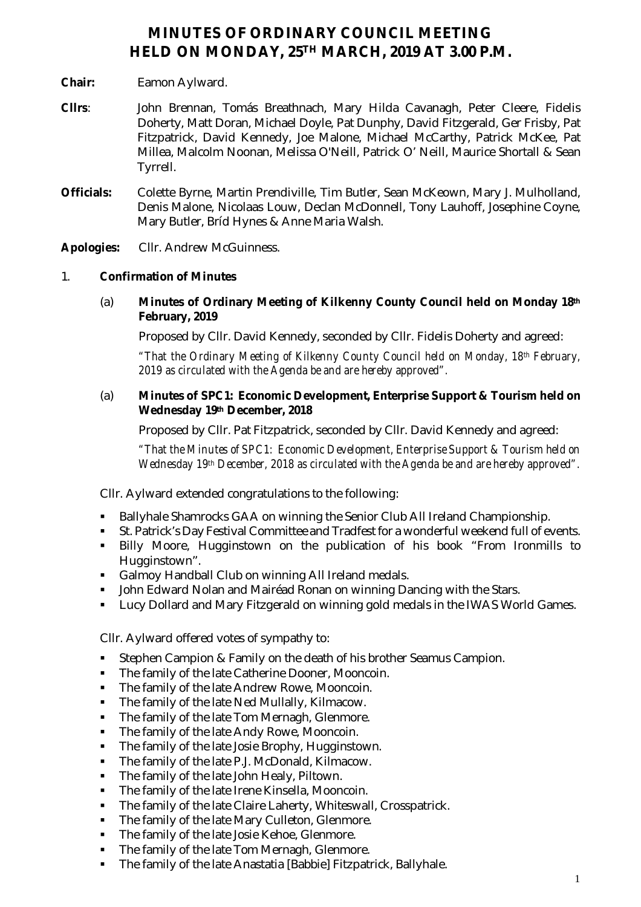# **MINUTES OF ORDINARY COUNCIL MEETING HELD ON MONDAY, 25TH MARCH, 2019 AT 3.00 P.M.**

- **Chair:** Eamon Aylward.
- **Cllrs**: John Brennan, Tomás Breathnach, Mary Hilda Cavanagh, Peter Cleere, Fidelis Doherty, Matt Doran, Michael Doyle, Pat Dunphy, David Fitzgerald, Ger Frisby, Pat Fitzpatrick, David Kennedy, Joe Malone, Michael McCarthy, Patrick McKee, Pat Millea, Malcolm Noonan, Melissa O'Neill, Patrick O' Neill, Maurice Shortall & Sean Tyrrell.
- **Officials:** Colette Byrne, Martin Prendiville, Tim Butler, Sean McKeown, Mary J. Mulholland, Denis Malone, Nicolaas Louw, Declan McDonnell, Tony Lauhoff, Josephine Coyne, Mary Butler, Bríd Hynes & Anne Maria Walsh.

**Apologies:** Cllr. Andrew McGuinness.

# 1. **Confirmation of Minutes**

(a) **Minutes of Ordinary Meeting of Kilkenny County Council held on Monday 18th February, 2019**

Proposed by Cllr. David Kennedy, seconded by Cllr. Fidelis Doherty and agreed:

*"That the Ordinary Meeting of Kilkenny County Council held on Monday, 18th February, 2019 as circulated with the Agenda be and are hereby approved".*

(a) **Minutes of SPC1: Economic Development, Enterprise Support & Tourism held on Wednesday 19th December, 2018**

Proposed by Cllr. Pat Fitzpatrick, seconded by Cllr. David Kennedy and agreed:

*"That the Minutes of SPC1: Economic Development, Enterprise Support & Tourism held on Wednesday 19th December, 2018 as circulated with the Agenda be and are hereby approved".*

Cllr. Aylward extended congratulations to the following:

- Ballyhale Shamrocks GAA on winning the Senior Club All Ireland Championship.
- St. Patrick's Day Festival Committee and Tradfest for a wonderful weekend full of events.
- Billy Moore, Hugginstown on the publication of his book "From Ironmills to Hugginstown".
- Galmoy Handball Club on winning All Ireland medals.
- John Edward Nolan and Mairéad Ronan on winning Dancing with the Stars.
- Lucy Dollard and Mary Fitzgerald on winning gold medals in the IWAS World Games.

Cllr. Aylward offered votes of sympathy to:

- Stephen Campion & Family on the death of his brother Seamus Campion.
- **The family of the late Catherine Dooner, Mooncoin.**
- The family of the late Andrew Rowe, Mooncoin.
- The family of the late Ned Mullally, Kilmacow.
- The family of the late Tom Mernagh, Glenmore.
- The family of the late Andy Rowe, Mooncoin.
- **The family of the late Josie Brophy, Hugginstown.**
- The family of the late P.J. McDonald, Kilmacow.
- The family of the late John Healy, Piltown.
- The family of the late Irene Kinsella, Mooncoin.
- **The family of the late Claire Laherty, Whiteswall, Crosspatrick.**
- The family of the late Mary Culleton, Glenmore.
- The family of the late Josie Kehoe, Glenmore.
- The family of the late Tom Mernagh, Glenmore.
- The family of the late Anastatia [Babbie] Fitzpatrick, Ballyhale.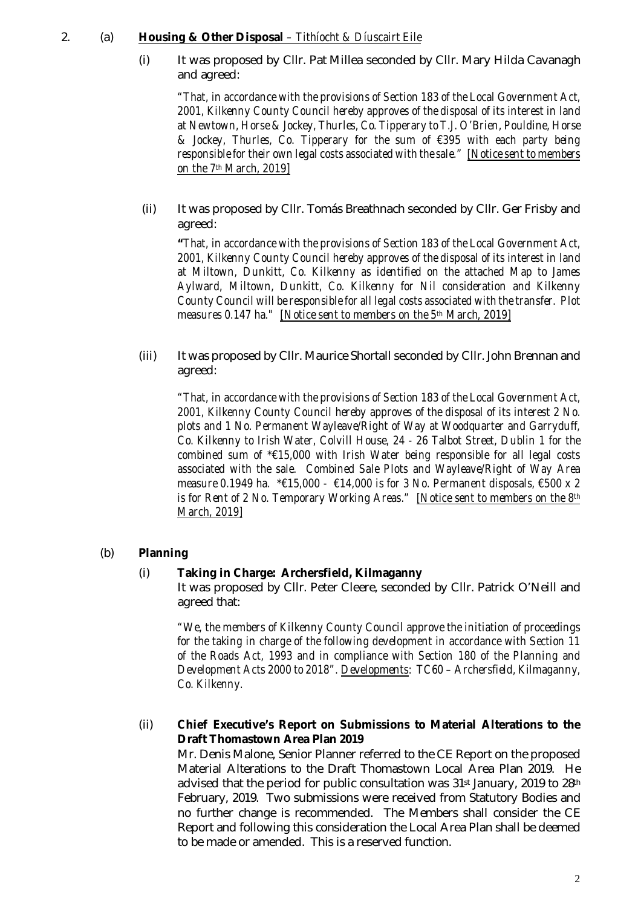# 2. (a) **Housing & Other Disposal** *– Tithíocht & Díuscairt Eile*

(i) It was proposed by Cllr. Pat Millea seconded by Cllr. Mary Hilda Cavanagh and agreed:

*"That, in accordance with the provisions of Section 183 of the Local Government Act, 2001, Kilkenny County Council hereby approves of the disposal of its interest in land at Newtown, Horse & Jockey, Thurles, Co. Tipperary to T.J. O'Brien, Pouldine, Horse & Jockey, Thurles, Co. Tipperary for the sum of €395 with each party being responsible for their own legal costs associated with the sale." [Notice sent to members on the 7th March, 2019]*

(ii) It was proposed by Cllr. Tomás Breathnach seconded by Cllr. Ger Frisby and agreed:

*"That, in accordance with the provisions of Section 183 of the Local Government Act, 2001, Kilkenny County Council hereby approves of the disposal of its interest in land at Miltown, Dunkitt, Co. Kilkenny as identified on the attached Map to James Aylward, Miltown, Dunkitt, Co. Kilkenny for Nil consideration and Kilkenny County Council will be responsible for all legal costs associated with the transfer. Plot measures 0.147 ha." [Notice sent to members on the 5th March, 2019]*

(iii) It was proposed by Cllr. Maurice Shortall seconded by Cllr. John Brennan and agreed:

*"That, in accordance with the provisions of Section 183 of the Local Government Act, 2001, Kilkenny County Council hereby approves of the disposal of its interest 2 No. plots and 1 No. Permanent Wayleave/Right of Way at Woodquarter and Garryduff, Co. Kilkenny to Irish Water, Colvill House, 24 - 26 Talbot Street, Dublin 1 for the combined sum of \*€15,000 with Irish Water being responsible for all legal costs associated with the sale. Combined Sale Plots and Wayleave/Right of Way Area measure 0.1949 ha. \*€15,000 - €14,000 is for 3 No. Permanent disposals, €500 x 2 is for Rent of 2 No. Temporary Working Areas." [Notice sent to members on the 8th March, 2019]*

# (b) **Planning**

# (i) **Taking in Charge: Archersfield, Kilmaganny**

It was proposed by Cllr. Peter Cleere, seconded by Cllr. Patrick O'Neill and agreed that:

*"We, the members of Kilkenny County Council approve the initiation of proceedings for the taking in charge of the following development in accordance with Section 11 of the Roads Act, 1993 and in compliance with Section 180 of the Planning and Development Acts 2000 to 2018". Developments: TC60 – Archersfield, Kilmaganny, Co. Kilkenny.*

# (ii) **Chief Executive's Report on Submissions to Material Alterations to the Draft Thomastown Area Plan 2019**

Mr. Denis Malone, Senior Planner referred to the CE Report on the proposed Material Alterations to the Draft Thomastown Local Area Plan 2019. He advised that the period for public consultation was 31<sup>st</sup> January, 2019 to 28<sup>th</sup> February, 2019. Two submissions were received from Statutory Bodies and no further change is recommended. The Members shall consider the CE Report and following this consideration the Local Area Plan shall be deemed to be made or amended. This is a reserved function.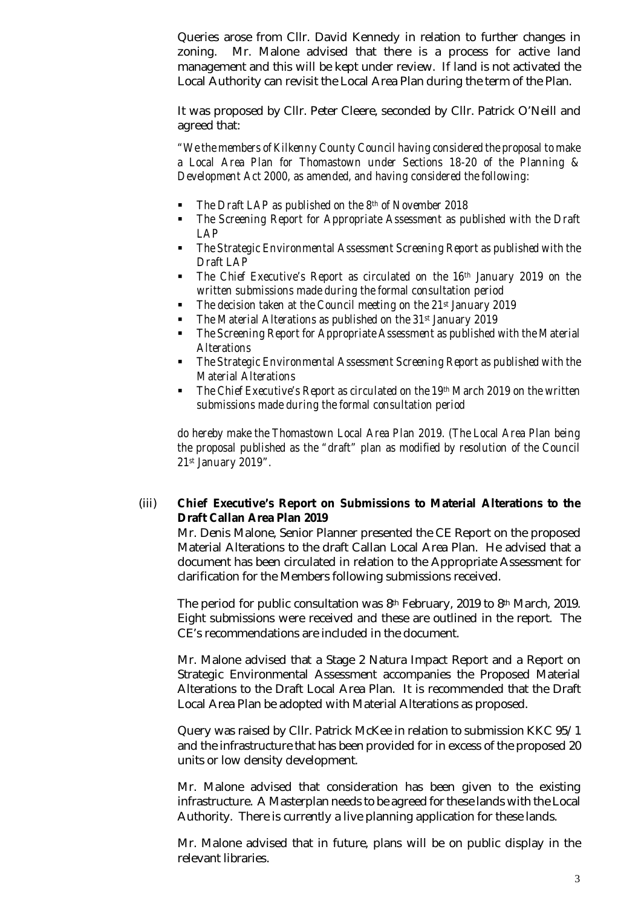Queries arose from Cllr. David Kennedy in relation to further changes in zoning. Mr. Malone advised that there is a process for active land management and this will be kept under review. If land is not activated the Local Authority can revisit the Local Area Plan during the term of the Plan.

It was proposed by Cllr. Peter Cleere, seconded by Cllr. Patrick O'Neill and agreed that:

*"We the members of Kilkenny County Council having considered the proposal to make a Local Area Plan for Thomastown under Sections 18-20 of the Planning & Development Act 2000, as amended, and having considered the following:*

- *The Draft LAP as published on the 8th of November 2018*
- *The Screening Report for Appropriate Assessment as published with the Draft LAP*
- *The Strategic Environmental Assessment Screening Report as published with the Draft LAP*
- *The Chief Executive's Report as circulated on the 16th January 2019 on the written submissions made during the formal consultation period*
- *The decision taken at the Council meeting on the 21st January 2019*
- *The Material Alterations as published on the 31st January 2019*
- *The Screening Report for Appropriate Assessment as published with the Material Alterations*
- *The Strategic Environmental Assessment Screening Report as published with the Material Alterations*
- *The Chief Executive's Report as circulated on the 19th March 2019 on the written submissions made during the formal consultation period*

*do hereby make the Thomastown Local Area Plan 2019. (The Local Area Plan being the proposal published as the "draft" plan as modified by resolution of the Council 21st January 2019".* 

# (iii) **Chief Executive's Report on Submissions to Material Alterations to the Draft Callan Area Plan 2019**

Mr. Denis Malone, Senior Planner presented the CE Report on the proposed Material Alterations to the draft Callan Local Area Plan. He advised that a document has been circulated in relation to the Appropriate Assessment for clarification for the Members following submissions received.

The period for public consultation was 8th February, 2019 to 8th March, 2019. Eight submissions were received and these are outlined in the report. The CE's recommendations are included in the document.

Mr. Malone advised that a Stage 2 Natura Impact Report and a Report on Strategic Environmental Assessment accompanies the Proposed Material Alterations to the Draft Local Area Plan. It is recommended that the Draft Local Area Plan be adopted with Material Alterations as proposed.

Query was raised by Cllr. Patrick McKee in relation to submission KKC 95/1 and the infrastructure that has been provided for in excess of the proposed 20 units or low density development.

Mr. Malone advised that consideration has been given to the existing infrastructure. A Masterplan needs to be agreed for these lands with the Local Authority. There is currently a live planning application for these lands.

Mr. Malone advised that in future, plans will be on public display in the relevant libraries.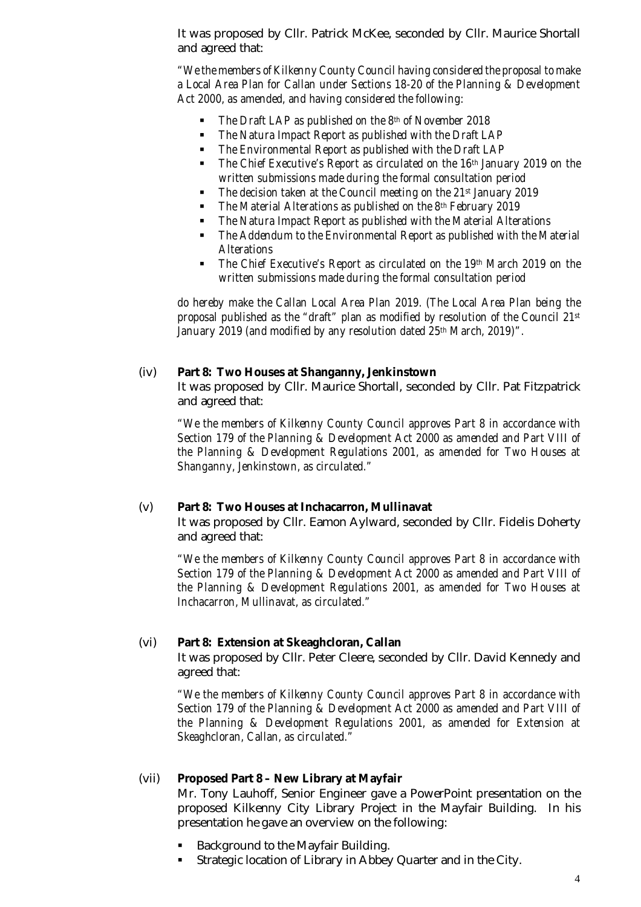It was proposed by Cllr. Patrick McKee, seconded by Cllr. Maurice Shortall and agreed that:

*"We the members of Kilkenny County Council having considered the proposal to make a Local Area Plan for Callan under Sections 18-20 of the Planning & Development Act 2000, as amended, and having considered the following:*

- *The Draft LAP as published on the 8th of November 2018*
- *The Natura Impact Report as published with the Draft LAP*
- *The Environmental Report as published with the Draft LAP*
- *The Chief Executive's Report as circulated on the 16th January 2019 on the written submissions made during the formal consultation period*
- *The decision taken at the Council meeting on the 21st January 2019*
- *The Material Alterations as published on the 8th February 2019*
- *The Natura Impact Report as published with the Material Alterations*
- *The Addendum to the Environmental Report as published with the Material Alterations*
- *The Chief Executive's Report as circulated on the 19th March 2019 on the written submissions made during the formal consultation period*

*do hereby make the Callan Local Area Plan 2019. (The Local Area Plan being the proposal published as the "draft" plan as modified by resolution of the Council 21st January 2019 (and modified by any resolution dated 25th March, 2019)".* 

#### (iv) **Part 8: Two Houses at Shanganny, Jenkinstown**

It was proposed by Cllr. Maurice Shortall, seconded by Cllr. Pat Fitzpatrick and agreed that:

*"We the members of Kilkenny County Council approves Part 8 in accordance with Section 179 of the Planning & Development Act 2000 as amended and Part VIII of the Planning & Development Regulations 2001, as amended for Two Houses at Shanganny, Jenkinstown, as circulated."*

#### (v) **Part 8: Two Houses at Inchacarron, Mullinavat**

It was proposed by Cllr. Eamon Aylward, seconded by Cllr. Fidelis Doherty and agreed that:

*"We the members of Kilkenny County Council approves Part 8 in accordance with Section 179 of the Planning & Development Act 2000 as amended and Part VIII of the Planning & Development Regulations 2001, as amended for Two Houses at Inchacarron, Mullinavat, as circulated."*

#### (vi) **Part 8: Extension at Skeaghcloran, Callan**

It was proposed by Cllr. Peter Cleere, seconded by Cllr. David Kennedy and agreed that:

*"We the members of Kilkenny County Council approves Part 8 in accordance with Section 179 of the Planning & Development Act 2000 as amended and Part VIII of the Planning & Development Regulations 2001, as amended for Extension at Skeaghcloran, Callan, as circulated."*

#### (vii) **Proposed Part 8 – New Library at Mayfair**

Mr. Tony Lauhoff, Senior Engineer gave a PowerPoint presentation on the proposed Kilkenny City Library Project in the Mayfair Building. In his presentation he gave an overview on the following:

- Background to the Mayfair Building.
- Strategic location of Library in Abbey Quarter and in the City.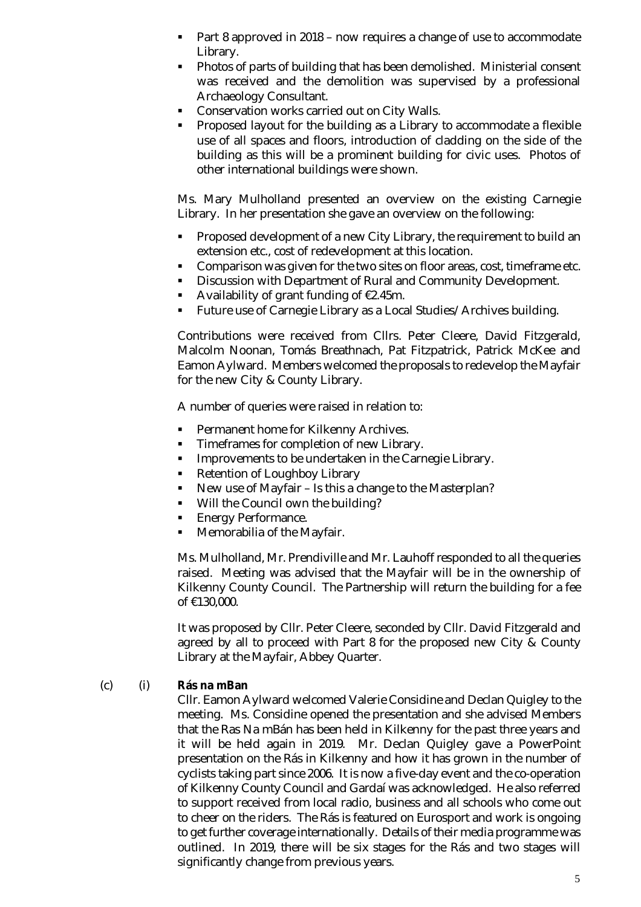- Part 8 approved in 2018 now requires a change of use to accommodate Library.
- Photos of parts of building that has been demolished. Ministerial consent was received and the demolition was supervised by a professional Archaeology Consultant.
- **Conservation works carried out on City Walls.**
- Proposed layout for the building as a Library to accommodate a flexible use of all spaces and floors, introduction of cladding on the side of the building as this will be a prominent building for civic uses. Photos of other international buildings were shown.

Ms. Mary Mulholland presented an overview on the existing Carnegie Library. In her presentation she gave an overview on the following:

- Proposed development of a new City Library, the requirement to build an extension etc., cost of redevelopment at this location.
- Comparison was given for the two sites on floor areas, cost, timeframe etc.
- **Discussion with Department of Rural and Community Development.**
- Availability of grant funding of €2.45m.
- **Future use of Carnegie Library as a Local Studies/Archives building.**

Contributions were received from Cllrs. Peter Cleere, David Fitzgerald, Malcolm Noonan, Tomás Breathnach, Pat Fitzpatrick, Patrick McKee and Eamon Aylward. Members welcomed the proposals to redevelop the Mayfair for the new City & County Library.

A number of queries were raised in relation to:

- Permanent home for Kilkenny Archives.
- **Timeframes for completion of new Library.**
- **IMPROVEMENTS TO be undertaken in the Carnegie Library.**
- Retention of Loughboy Library
- New use of Mayfair Is this a change to the Masterplan?
- **Will the Council own the building?**
- **Energy Performance.**
- Memorabilia of the Mayfair.

Ms. Mulholland, Mr. Prendiville and Mr. Lauhoff responded to all the queries raised. Meeting was advised that the Mayfair will be in the ownership of Kilkenny County Council. The Partnership will return the building for a fee of €130,000.

It was proposed by Cllr. Peter Cleere, seconded by Cllr. David Fitzgerald and agreed by all to proceed with Part 8 for the proposed new City & County Library at the Mayfair, Abbey Quarter.

#### (c) (i) **Rás na mBan**

Cllr. Eamon Aylward welcomed Valerie Considine and Declan Quigley to the meeting. Ms. Considine opened the presentation and she advised Members that the Ras Na mBán has been held in Kilkenny for the past three years and it will be held again in 2019. Mr. Declan Quigley gave a PowerPoint presentation on the Rás in Kilkenny and how it has grown in the number of cyclists taking part since 2006. It is now a five-day event and the co-operation of Kilkenny County Council and Gardaí was acknowledged. He also referred to support received from local radio, business and all schools who come out to cheer on the riders. The Rás is featured on Eurosport and work is ongoing to get further coverage internationally. Details of their media programme was outlined. In 2019, there will be six stages for the Rás and two stages will significantly change from previous years.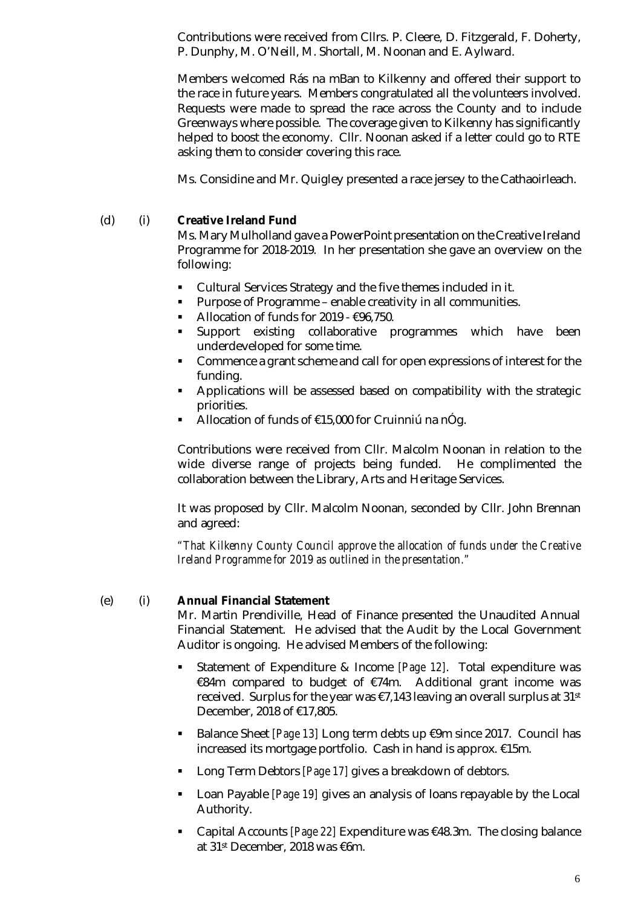Contributions were received from Cllrs. P. Cleere, D. Fitzgerald, F. Doherty, P. Dunphy, M. O'Neill, M. Shortall, M. Noonan and E. Aylward.

Members welcomed Rás na mBan to Kilkenny and offered their support to the race in future years. Members congratulated all the volunteers involved. Requests were made to spread the race across the County and to include Greenways where possible. The coverage given to Kilkenny has significantly helped to boost the economy. Cllr. Noonan asked if a letter could go to RTE asking them to consider covering this race.

Ms. Considine and Mr. Quigley presented a race jersey to the Cathaoirleach.

#### (d) (i) **Creative Ireland Fund**

Ms. Mary Mulholland gave a PowerPoint presentation on the Creative Ireland Programme for 2018-2019. In her presentation she gave an overview on the following:

- Cultural Services Strategy and the five themes included in it.
- Purpose of Programme enable creativity in all communities.
- Allocation of funds for 2019  $€96,750$ .
- **Support** existing collaborative programmes which have been underdeveloped for some time.
- **Commence a grant scheme and call for open expressions of interest for the** funding.
- Applications will be assessed based on compatibility with the strategic priorities.
- Allocation of funds of €15,000 for Cruinniú na nÓg.

Contributions were received from Cllr. Malcolm Noonan in relation to the wide diverse range of projects being funded. He complimented the collaboration between the Library, Arts and Heritage Services.

It was proposed by Cllr. Malcolm Noonan, seconded by Cllr. John Brennan and agreed:

*"That Kilkenny County Council approve the allocation of funds under the Creative Ireland Programme for 2019 as outlined in the presentation."*

#### (e) (i) **Annual Financial Statement**

Mr. Martin Prendiville, Head of Finance presented the Unaudited Annual Financial Statement. He advised that the Audit by the Local Government Auditor is ongoing. He advised Members of the following:

- Statement of Expenditure & Income *[Page 12]*. Total expenditure was €84m compared to budget of €74m. Additional grant income was received. Surplus for the year was €7,143 leaving an overall surplus at 31st December, 2018 of €17,805.
- Balance Sheet *[Page 13]* Long term debts up €9m since 2017. Council has increased its mortgage portfolio. Cash in hand is approx. €15m.
- Long Term Debtors *[Page 17]* gives a breakdown of debtors.
- Loan Payable *[Page 19]* gives an analysis of loans repayable by the Local Authority.
- Capital Accounts *[Page 22]* Expenditure was €48.3m. The closing balance at 31st December, 2018 was €6m.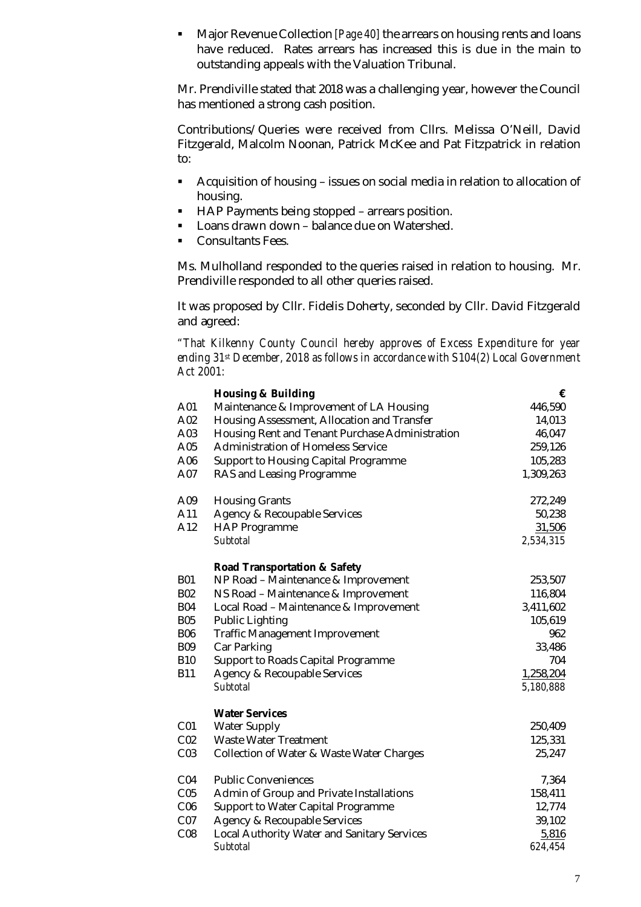Major Revenue Collection *[Page 40]* the arrears on housing rents and loans have reduced. Rates arrears has increased this is due in the main to outstanding appeals with the Valuation Tribunal.

Mr. Prendiville stated that 2018 was a challenging year, however the Council has mentioned a strong cash position.

Contributions/Queries were received from Cllrs. Melissa O'Neill, David Fitzgerald, Malcolm Noonan, Patrick McKee and Pat Fitzpatrick in relation to:

- Acquisition of housing issues on social media in relation to allocation of housing.
- HAP Payments being stopped arrears position.
- **Loans drawn down balance due on Watershed.**
- Consultants Fees.

Ms. Mulholland responded to the queries raised in relation to housing. Mr. Prendiville responded to all other queries raised.

It was proposed by Cllr. Fidelis Doherty, seconded by Cllr. David Fitzgerald and agreed:

*"That Kilkenny County Council hereby approves of Excess Expenditure for year ending 31st December, 2018 as follows in accordance with S104(2) Local Government Act 2001:*

|                 | <b>Housing &amp; Building</b>                   | €         |
|-----------------|-------------------------------------------------|-----------|
| A01             | Maintenance & Improvement of LA Housing         | 446,590   |
| A02             | Housing Assessment, Allocation and Transfer     | 14,013    |
| A03             | Housing Rent and Tenant Purchase Administration | 46,047    |
| A05             | <b>Administration of Homeless Service</b>       | 259,126   |
| A06             | Support to Housing Capital Programme            | 105,283   |
| A07             | RAS and Leasing Programme                       | 1,309,263 |
| A09             | <b>Housing Grants</b>                           | 272,249   |
| A11             | Agency & Recoupable Services                    | 50,238    |
| A12             | <b>HAP Programme</b>                            | 31,506    |
|                 | Subtotal                                        | 2,534,315 |
|                 | Road Transportation & Safety                    |           |
| <b>B01</b>      | NP Road - Maintenance & Improvement             | 253,507   |
| <b>B02</b>      | NS Road - Maintenance & Improvement             | 116,804   |
| <b>B04</b>      | Local Road - Maintenance & Improvement          | 3,411,602 |
| <b>B05</b>      | <b>Public Lighting</b>                          | 105,619   |
| <b>B06</b>      | Traffic Management Improvement                  | 962       |
| <b>B09</b>      | Car Parking                                     | 33,486    |
| <b>B10</b>      | Support to Roads Capital Programme              | 704       |
| <b>B11</b>      | Agency & Recoupable Services                    | 1,258,204 |
|                 | Subtotal                                        | 5,180,888 |
|                 | <b>Water Services</b>                           |           |
| C <sub>01</sub> | <b>Water Supply</b>                             | 250,409   |
| CO <sub>2</sub> | Waste Water Treatment                           | 125,331   |
| CO <sub>3</sub> | Collection of Water & Waste Water Charges       | 25,247    |
| CO <sub>4</sub> | <b>Public Conveniences</b>                      | 7,364     |
| C <sub>05</sub> | Admin of Group and Private Installations        | 158,411   |
| C <sub>06</sub> | Support to Water Capital Programme              | 12,774    |
| CO7             | Agency & Recoupable Services                    | 39,102    |
| CO8             | Local Authority Water and Sanitary Services     | 5,816     |
|                 | Subtotal                                        | 624,454   |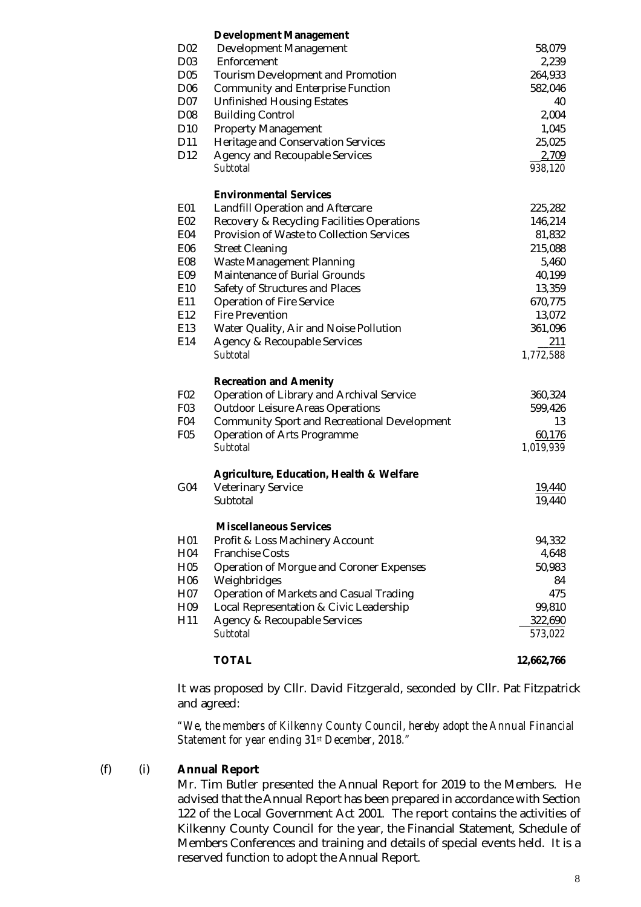|                 | <b>Development Management</b>                       |                    |
|-----------------|-----------------------------------------------------|--------------------|
| D <sub>02</sub> | Development Management                              | 58,079             |
| D03             | Enforcement                                         | 2,239              |
| D05             | <b>Tourism Development and Promotion</b>            | 264,933            |
| D <sub>06</sub> | Community and Enterprise Function                   | 582,046            |
| D07             | <b>Unfinished Housing Estates</b>                   | 40                 |
| D08             | <b>Building Control</b>                             | 2,004              |
| D <sub>10</sub> | <b>Property Management</b>                          | 1,045              |
| D11             | Heritage and Conservation Services                  | 25,025             |
| D12             | Agency and Recoupable Services                      | 2,709              |
|                 | Subtotal                                            | 938,120            |
|                 | <b>Environmental Services</b>                       |                    |
| E01             | Landfill Operation and Aftercare                    | 225,282            |
| E02             | Recovery & Recycling Facilities Operations          | 146,214            |
| E04             | Provision of Waste to Collection Services           | 81,832             |
| E06             | <b>Street Cleaning</b>                              | 215,088            |
| E08             | Waste Management Planning                           | 5,460              |
| E09             | Maintenance of Burial Grounds                       | 40,199             |
| E10             | Safety of Structures and Places                     | 13,359             |
| E11             | <b>Operation of Fire Service</b>                    | 670,775            |
| E12             | <b>Fire Prevention</b>                              | 13,072             |
| E13             | Water Quality, Air and Noise Pollution              | 361,096            |
| E14             | Agency & Recoupable Services                        | 211                |
|                 | Subtotal                                            | 1,772,588          |
|                 | <b>Recreation and Amenity</b>                       |                    |
| F02             | Operation of Library and Archival Service           | 360,324            |
| F03             | <b>Outdoor Leisure Areas Operations</b>             | 599,426            |
| F04             | Community Sport and Recreational Development        | 13                 |
| F05             | Operation of Arts Programme                         | 60,176             |
|                 | Subtotal                                            | 1,019,939          |
|                 | <b>Agriculture, Education, Health &amp; Welfare</b> |                    |
| G04             | <b>Veterinary Service</b>                           | 19,440             |
|                 | Subtotal                                            | 19,440             |
|                 | <b>Miscellaneous Services</b>                       |                    |
| H01             | Profit & Loss Machinery Account                     | 94,332             |
| H04             | <b>Franchise Costs</b>                              | 4,648              |
| H <sub>05</sub> | Operation of Morgue and Coroner Expenses            | 50,983             |
| H <sub>06</sub> | Weighbridges                                        | 84                 |
| H07             | Operation of Markets and Casual Trading             | 475                |
| H <sub>09</sub> | Local Representation & Civic Leadership             | 99,810             |
| H11             | Agency & Recoupable Services<br>Subtotal            | 322,690<br>573,022 |
|                 |                                                     |                    |
|                 | <b>TOTAL</b>                                        | 12,662,766         |

It was proposed by Cllr. David Fitzgerald, seconded by Cllr. Pat Fitzpatrick and agreed:

*"We, the members of Kilkenny County Council, hereby adopt the Annual Financial Statement for year ending 31st December, 2018."*

#### (f) (i) **Annual Report**

Mr. Tim Butler presented the Annual Report for 2019 to the Members. He advised that the Annual Report has been prepared in accordance with Section 122 of the Local Government Act 2001. The report contains the activities of Kilkenny County Council for the year, the Financial Statement, Schedule of Members Conferences and training and details of special events held. It is a reserved function to adopt the Annual Report.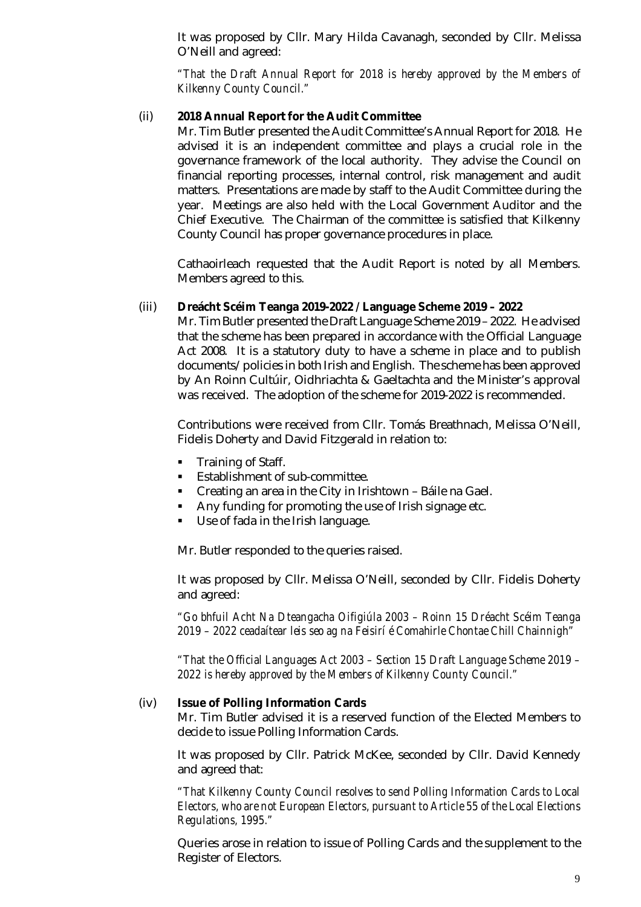It was proposed by Cllr. Mary Hilda Cavanagh, seconded by Cllr. Melissa O'Neill and agreed:

*"That the Draft Annual Report for 2018 is hereby approved by the Members of Kilkenny County Council."*

#### (ii) **2018 Annual Report for the Audit Committee**

Mr. Tim Butler presented the Audit Committee's Annual Report for 2018. He advised it is an independent committee and plays a crucial role in the governance framework of the local authority. They advise the Council on financial reporting processes, internal control, risk management and audit matters. Presentations are made by staff to the Audit Committee during the year. Meetings are also held with the Local Government Auditor and the Chief Executive. The Chairman of the committee is satisfied that Kilkenny County Council has proper governance procedures in place.

Cathaoirleach requested that the Audit Report is noted by all Members. Members agreed to this.

#### (iii) **Dreácht Scéim Teanga 2019-2022 / Language Scheme 2019 – 2022**

Mr. Tim Butler presented the Draft Language Scheme 2019 – 2022. He advised that the scheme has been prepared in accordance with the Official Language Act 2008. It is a statutory duty to have a scheme in place and to publish documents/policies in both Irish and English. The scheme has been approved by An Roinn Cultúir, Oidhriachta & Gaeltachta and the Minister's approval was received. The adoption of the scheme for 2019-2022 is recommended.

Contributions were received from Cllr. Tomás Breathnach, Melissa O'Neill, Fidelis Doherty and David Fitzgerald in relation to:

- **Training of Staff.**
- **Establishment of sub-committee.**
- Creating an area in the City in Irishtown Báile na Gael.
- Any funding for promoting the use of Irish signage etc.
- Use of fada in the Irish language.

Mr. Butler responded to the queries raised.

It was proposed by Cllr. Melissa O'Neill, seconded by Cllr. Fidelis Doherty and agreed:

*"Go bhfuil Acht Na Dteangacha Oifigiúla 2003 – Roinn 15 Dréacht Scéim Teanga 2019 – 2022 ceadaítear leis seo ag na Feisirí é Comahirle Chontae Chill Chainnigh"*

*"That the Official Languages Act 2003 – Section 15 Draft Language Scheme 2019 – 2022 is hereby approved by the Members of Kilkenny County Council."*

#### (iv) **Issue of Polling Information Cards**

Mr. Tim Butler advised it is a reserved function of the Elected Members to decide to issue Polling Information Cards.

It was proposed by Cllr. Patrick McKee, seconded by Cllr. David Kennedy and agreed that:

*"That Kilkenny County Council resolves to send Polling Information Cards to Local Electors, who are not European Electors, pursuant to Article 55 of the Local Elections Regulations, 1995."*

Queries arose in relation to issue of Polling Cards and the supplement to the Register of Electors.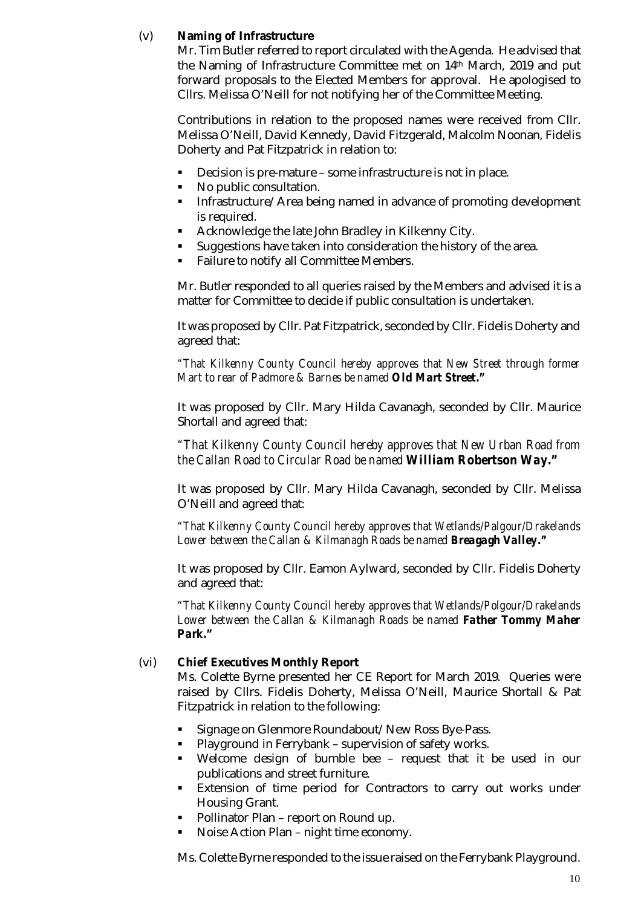# (v) **Naming of Infrastructure**

Mr. Tim Butler referred to report circulated with the Agenda. He advised that the Naming of Infrastructure Committee met on 14th March, 2019 and put forward proposals to the Elected Members for approval. He apologised to Cllrs. Melissa O'Neill for not notifying her of the Committee Meeting.

Contributions in relation to the proposed names were received from Cllr. Melissa O'Neill, David Kennedy, David Fitzgerald, Malcolm Noonan, Fidelis Doherty and Pat Fitzpatrick in relation to:

- Decision is pre-mature some infrastructure is not in place.
- No public consultation.
- **Infrastructure/Area being named in advance of promoting development** is required.
- Acknowledge the late John Bradley in Kilkenny City.
- Suggestions have taken into consideration the history of the area.
- Failure to notify all Committee Members.

Mr. Butler responded to all queries raised by the Members and advised it is a matter for Committee to decide if public consultation is undertaken.

It was proposed by Cllr. Pat Fitzpatrick, seconded by Cllr. Fidelis Doherty and agreed that:

*"That Kilkenny County Council hereby approves that New Street through former Mart to rear of Padmore & Barnes be named Old Mart Street."*

It was proposed by Cllr. Mary Hilda Cavanagh, seconded by Cllr. Maurice Shortall and agreed that:

*"That Kilkenny County Council hereby approves that New Urban Road from the Callan Road to Circular Road be named William Robertson Way."*

It was proposed by Cllr. Mary Hilda Cavanagh, seconded by Cllr. Melissa O'Neill and agreed that:

*"That Kilkenny County Council hereby approves that Wetlands/Palgour/Drakelands Lower between the Callan & Kilmanagh Roads be named Breagagh Valley."*

It was proposed by Cllr. Eamon Aylward, seconded by Cllr. Fidelis Doherty and agreed that:

*"That Kilkenny County Council hereby approves that Wetlands/Polgour/Drakelands Lower between the Callan & Kilmanagh Roads be named Father Tommy Maher Park."*

#### (vi) **Chief Executives Monthly Report**

Ms. Colette Byrne presented her CE Report for March 2019. Queries were raised by Cllrs. Fidelis Doherty, Melissa O'Neill, Maurice Shortall & Pat Fitzpatrick in relation to the following:

- Signage on Glenmore Roundabout/New Ross Bye-Pass.
- Playground in Ferrybank supervision of safety works.
- Welcome design of bumble bee request that it be used in our publications and street furniture.
- **Extension of time period for Contractors to carry out works under** Housing Grant.
- Pollinator Plan report on Round up.
- Noise Action Plan night time economy.

Ms. Colette Byrne responded to the issue raised on the Ferrybank Playground.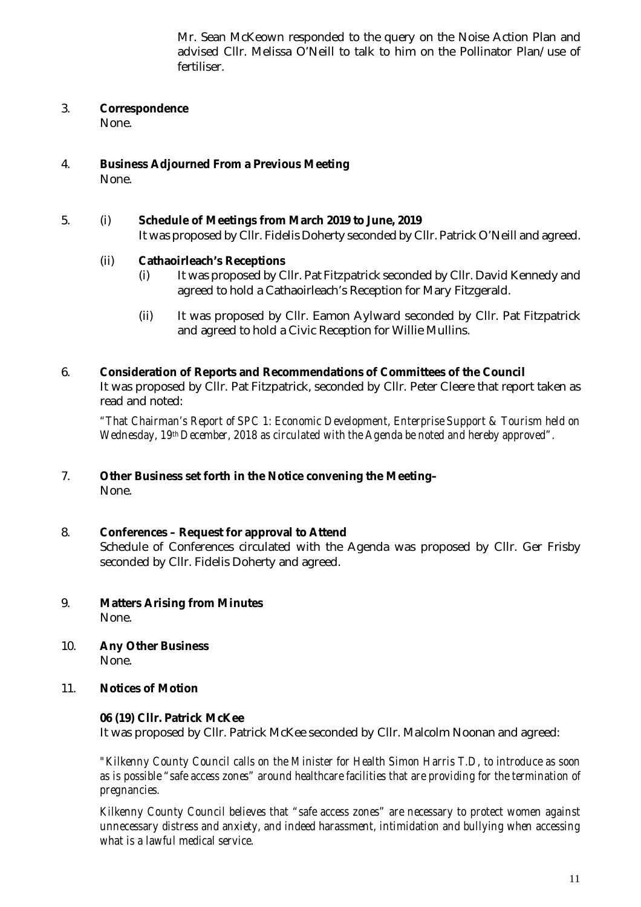Mr. Sean McKeown responded to the query on the Noise Action Plan and advised Cllr. Melissa O'Neill to talk to him on the Pollinator Plan/use of fertiliser.

# 3. **Correspondence**

None.

4. **Business Adjourned From a Previous Meeting** None.

# 5. (i) **Schedule of Meetings from March 2019 to June, 2019**

It was proposed by Cllr. Fidelis Doherty seconded by Cllr. Patrick O'Neill and agreed.

# (ii) **Cathaoirleach's Receptions**

- (i) It was proposed by Cllr. Pat Fitzpatrick seconded by Cllr. David Kennedy and agreed to hold a Cathaoirleach's Reception for Mary Fitzgerald.
- (ii) It was proposed by Cllr. Eamon Aylward seconded by Cllr. Pat Fitzpatrick and agreed to hold a Civic Reception for Willie Mullins.

# 6. **Consideration of Reports and Recommendations of Committees of the Council** It was proposed by Cllr. Pat Fitzpatrick, seconded by Cllr. Peter Cleere that report taken as read and noted:

*"That Chairman's Report of SPC 1: Economic Development, Enterprise Support & Tourism held on Wednesday, 19th December, 2018 as circulated with the Agenda be noted and hereby approved".*

# 7. **Other Business set forth in the Notice convening the Meeting–** None.

#### 8. **Conferences – Request for approval to Attend** Schedule of Conferences circulated with the Agenda was proposed by Cllr. Ger Frisby seconded by Cllr. Fidelis Doherty and agreed.

- 9. **Matters Arising from Minutes** None.
- 10. **Any Other Business** None.

# 11. **Notices of Motion**

# **06 (19) Cllr. Patrick McKee**

It was proposed by Cllr. Patrick McKee seconded by Cllr. Malcolm Noonan and agreed:

*"Kilkenny County Council calls on the Minister for Health Simon Harris T.D, to introduce as soon as is possible "safe access zones" around healthcare facilities that are providing for the termination of pregnancies.*

*Kilkenny County Council believes that "safe access zones" are necessary to protect women against unnecessary distress and anxiety, and indeed harassment, intimidation and bullying when accessing what is a lawful medical service.*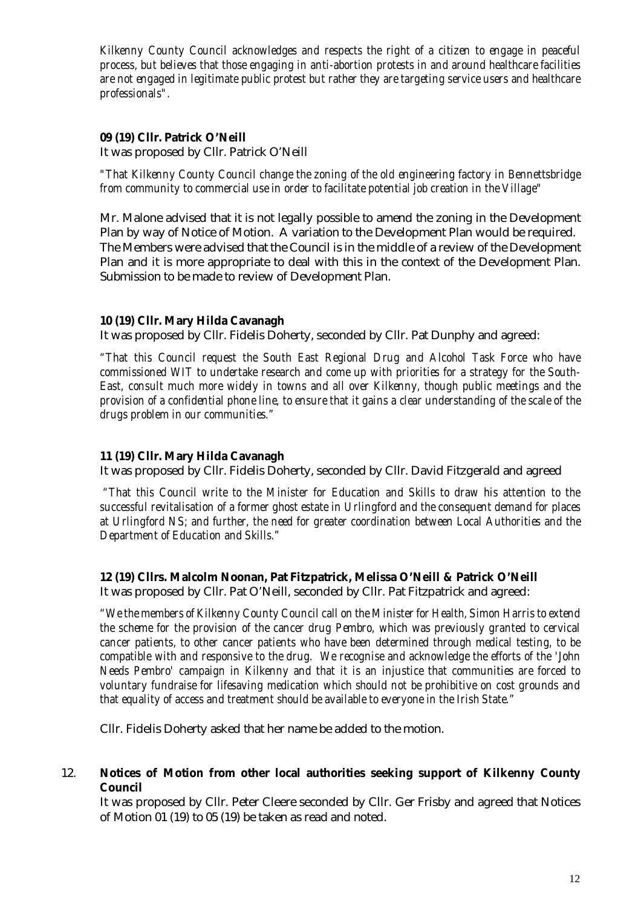*Kilkenny County Council acknowledges and respects the right of a citizen to engage in peaceful process, but believes that those engaging in anti-abortion protests in and around healthcare facilities are not engaged in legitimate public protest but rather they are targeting service users and healthcare professionals".*

#### **09 (19) Cllr. Patrick O'Neill**

It was proposed by Cllr. Patrick O'Neill

*"That Kilkenny County Council change the zoning of the old engineering factory in Bennettsbridge from community to commercial use in order to facilitate potential job creation in the Village"*

Mr. Malone advised that it is not legally possible to amend the zoning in the Development Plan by way of Notice of Motion. A variation to the Development Plan would be required. The Members were advised that the Council is in the middle of a review of the Development Plan and it is more appropriate to deal with this in the context of the Development Plan. Submission to be made to review of Development Plan.

# **10 (19) Cllr. Mary Hilda Cavanagh**

It was proposed by Cllr. Fidelis Doherty, seconded by Cllr. Pat Dunphy and agreed:

*"That this Council request the South East Regional Drug and Alcohol Task Force who have commissioned WIT to undertake research and come up with priorities for a strategy for the South-East, consult much more widely in towns and all over Kilkenny, though public meetings and the provision of a confidential phone line, to ensure that it gains a clear understanding of the scale of the drugs problem in our communities."*

#### **11 (19) Cllr. Mary Hilda Cavanagh**

It was proposed by Cllr. Fidelis Doherty, seconded by Cllr. David Fitzgerald and agreed

*"That this Council write to the Minister for Education and Skills to draw his attention to the successful revitalisation of a former ghost estate in Urlingford and the consequent demand for places at Urlingford NS; and further, the need for greater coordination between Local Authorities and the Department of Education and Skills."*

#### **12 (19) Cllrs. Malcolm Noonan, Pat Fitzpatrick, Melissa O'Neill & Patrick O'Neill**

It was proposed by Cllr. Pat O'Neill, seconded by Cllr. Pat Fitzpatrick and agreed:

*"We the members of Kilkenny County Council call on the Minister for Health, Simon Harris to extend the scheme for the provision of the cancer drug Pembro, which was previously granted to cervical cancer patients, to other cancer patients who have been determined through medical testing, to be compatible with and responsive to the drug. We recognise and acknowledge the efforts of the 'John Needs Pembro' campaign in Kilkenny and that it is an injustice that communities are forced to voluntary fundraise for lifesaving medication which should not be prohibitive on cost grounds and that equality of access and treatment should be available to everyone in the Irish State."*

Cllr. Fidelis Doherty asked that her name be added to the motion.

# 12. **Notices of Motion from other local authorities seeking support of Kilkenny County Council**

It was proposed by Cllr. Peter Cleere seconded by Cllr. Ger Frisby and agreed that Notices of Motion 01 (19) to 05 (19) be taken as read and noted.